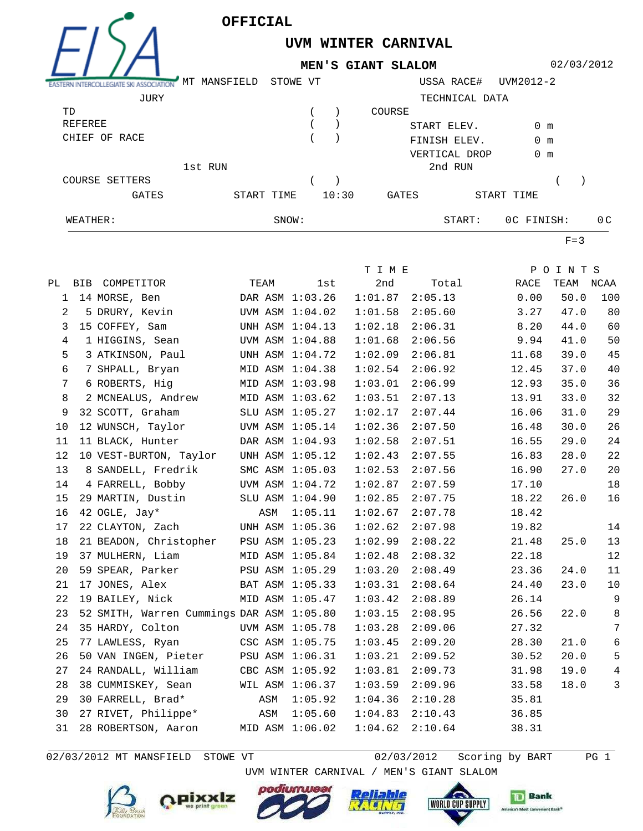



## **UVM WINTER CARNIVAL MEN'S GIANT SLALOM**

02/03/2012

| WEATHER:       |                 | SNOW:    |       |        | START:         |            | OC FINISH:     | 0 <sup>C</sup> |
|----------------|-----------------|----------|-------|--------|----------------|------------|----------------|----------------|
| GATES          | START TIME      |          | 10:30 | GATES  |                | START TIME |                |                |
| COURSE SETTERS |                 |          |       |        |                |            |                |                |
|                | 1st RUN         |          |       |        | 2nd RUN        |            |                |                |
|                |                 |          |       |        | VERTICAL DROP  |            | 0 <sub>m</sub> |                |
| CHIEF OF RACE  |                 |          |       |        | FINISH ELEV.   |            | $0 \text{ m}$  |                |
| REFEREE        |                 |          |       |        | START ELEV.    |            | 0 <sub>m</sub> |                |
| TD             |                 |          |       | COURSE |                |            |                |                |
| JURY           |                 |          |       |        | TECHNICAL DATA |            |                |                |
|                | MANSFIELD<br>МT | STOWE VT |       |        | USSA RACE#     | UVM2012-2  |                |                |

 $F=3$ 

|                 |                                           |                 |         | T I M E |         |       | POINTS |                |
|-----------------|-------------------------------------------|-----------------|---------|---------|---------|-------|--------|----------------|
|                 | PL BIB COMPETITOR                         | TEAM            | lst     | 2nd     | Total   | RACE  | TEAM   | NCAA           |
| $\mathbf{1}$    | 14 MORSE, Ben                             | DAR ASM 1:03.26 |         | 1:01.87 | 2:05.13 | 0.00  | 50.0   | 100            |
| 2               | 5 DRURY, Kevin                            | UVM ASM 1:04.02 |         | 1:01.58 | 2:05.60 | 3.27  | 47.0   | 80             |
| 3               | 15 COFFEY, Sam                            | UNH ASM 1:04.13 |         | 1:02.18 | 2:06.31 | 8.20  | 44.0   | 60             |
| 4               | 1 HIGGINS, Sean                           | UVM ASM 1:04.88 |         | 1:01.68 | 2:06.56 | 9.94  | 41.0   | 50             |
| 5               | 3 ATKINSON, Paul                          | UNH ASM 1:04.72 |         | 1:02.09 | 2:06.81 | 11.68 | 39.0   | 45             |
| 6               | 7 SHPALL, Bryan                           | MID ASM 1:04.38 |         | 1:02.54 | 2:06.92 | 12.45 | 37.0   | 40             |
| 7               | 6 ROBERTS, Hig                            | MID ASM 1:03.98 |         | 1:03.01 | 2:06.99 | 12.93 | 35.0   | 36             |
| 8               | 2 MCNEALUS, Andrew                        | MID ASM 1:03.62 |         | 1:03.51 | 2:07.13 | 13.91 | 33.0   | 32             |
| 9               | 32 SCOTT, Graham                          | SLU ASM 1:05.27 |         | 1:02.17 | 2:07.44 | 16.06 | 31.0   | 29             |
| 10              | 12 WUNSCH, Taylor                         | UVM ASM 1:05.14 |         | 1:02.36 | 2:07.50 | 16.48 | 30.0   | 26             |
| 11              | 11 BLACK, Hunter                          | DAR ASM 1:04.93 |         | 1:02.58 | 2:07.51 | 16.55 | 29.0   | 24             |
| 12              | 10 VEST-BURTON, Taylor                    | UNH ASM 1:05.12 |         | 1:02.43 | 2:07.55 | 16.83 | 28.0   | 22             |
| 13 <sup>°</sup> | 8 SANDELL, Fredrik                        | SMC ASM 1:05.03 |         | 1:02.53 | 2:07.56 | 16.90 | 27.0   | 20             |
| 14              | 4 FARRELL, Bobby                          | UVM ASM 1:04.72 |         | 1:02.87 | 2:07.59 | 17.10 |        | 18             |
| 15              | 29 MARTIN, Dustin                         | SLU ASM 1:04.90 |         | 1:02.85 | 2:07.75 | 18.22 | 26.0   | 16             |
| 16              | 42 OGLE, Jay*                             | ASM             | 1:05.11 | 1:02.67 | 2:07.78 | 18.42 |        |                |
| 17              | 22 CLAYTON, Zach                          | UNH ASM 1:05.36 |         | 1:02.62 | 2:07.98 | 19.82 |        | 14             |
| 18              | 21 BEADON, Christopher PSU ASM 1:05.23    |                 |         | 1:02.99 | 2:08.22 | 21.48 | 25.0   | 13             |
| 19              | 37 MULHERN, Liam                          | MID ASM 1:05.84 |         | 1:02.48 | 2:08.32 | 22.18 |        | 12             |
| 20              | 59 SPEAR, Parker                          | PSU ASM 1:05.29 |         | 1:03.20 | 2:08.49 | 23.36 | 24.0   | 11             |
| 21              | 17 JONES, Alex                            | BAT ASM 1:05.33 |         | 1:03.31 | 2:08.64 | 24.40 | 23.0   | 10             |
| 22              | 19 BAILEY, Nick                           | MID ASM 1:05.47 |         | 1:03.42 | 2:08.89 | 26.14 |        | 9              |
| 23              | 52 SMITH, Warren Cummings DAR ASM 1:05.80 |                 |         | 1:03.15 | 2:08.95 | 26.56 | 22.0   | 8              |
| 24              | 35 HARDY, Colton                          | UVM ASM 1:05.78 |         | 1:03.28 | 2:09.06 | 27.32 |        | $7\phantom{.}$ |
| 25              | 77 LAWLESS, Ryan                          | CSC ASM 1:05.75 |         | 1:03.45 | 2:09.20 | 28.30 | 21.0   | 6              |
| 26              | 50 VAN INGEN, Pieter                      | PSU ASM 1:06.31 |         | 1:03.21 | 2:09.52 | 30.52 | 20.0   | 5              |
| 27              | 24 RANDALL, William                       | CBC ASM 1:05.92 |         | 1:03.81 | 2:09.73 | 31.98 | 19.0   | $\overline{4}$ |
| 28              | 38 CUMMISKEY, Sean                        | WIL ASM 1:06.37 |         | 1:03.59 | 2:09.96 | 33.58 | 18.0   | 3              |
| 29              | 30 FARRELL, Brad*                         | ASM             | 1:05.92 | 1:04.36 | 2:10.28 | 35.81 |        |                |
| 30              | 27 RIVET, Philippe*                       | ASM             | 1:05.60 | 1:04.83 | 2:10.43 | 36.85 |        |                |
| 31              | 28 ROBERTSON, Aaron                       | MID ASM 1:06.02 |         | 1:04.62 | 2:10.64 | 38.31 |        |                |
|                 |                                           |                 |         |         |         |       |        |                |

02/03/2012 MT MANSFIELD STOWE VT  $02/03/2012$  Scoring by BART PG 1









UVM WINTER CARNIVAL / MEN'S GIANT SLALOM

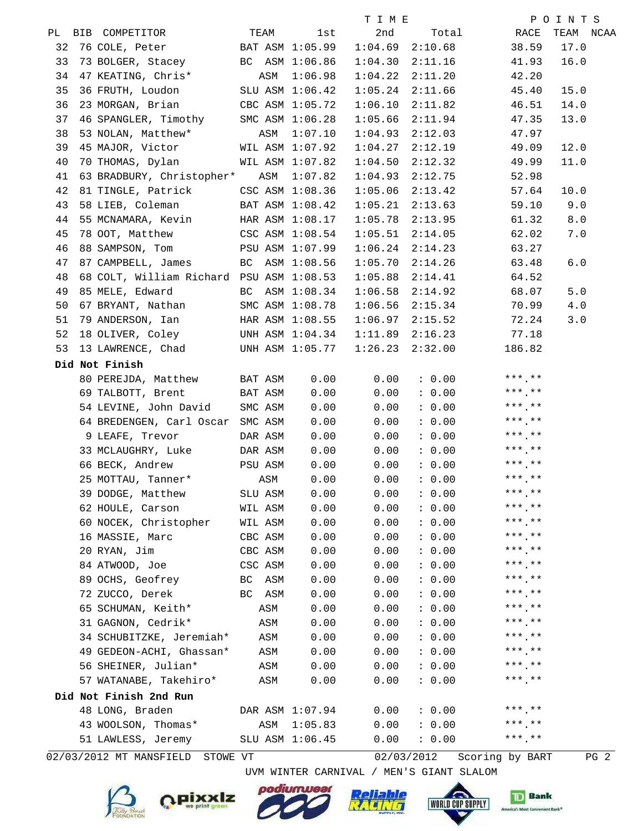|    |                                          |           |                 | T I M E |         |                              | POINTS         |
|----|------------------------------------------|-----------|-----------------|---------|---------|------------------------------|----------------|
|    | TEAM<br>PL BIB COMPETITOR                |           | 1st             | 2nd     |         | Total RACE                   | TEAM NCAA      |
| 32 | 76 COLE, Peter BAT ASM 1:05.99           |           |                 | 1:04.69 | 2:10.68 | 38.59                        | 17.0           |
| 33 | 73 BOLGER, Stacey BC ASM 1:06.86         |           |                 | 1:04.30 | 2:11.16 | 41.93                        | 16.0           |
| 34 | 47 KEATING, Chris* ASM                   |           | 1:06.98         | 1:04.22 | 2:11.20 | 42.20                        |                |
| 35 | 36 FRUTH, Loudon SLU ASM 1:06.42         |           |                 | 1:05.24 | 2:11.66 | 45.40                        | 15.0           |
| 36 | 23 MORGAN, Brian CBC ASM 1:05.72         |           |                 | 1:06.10 | 2:11.82 | 46.51                        | 14.0           |
| 37 | 46 SPANGLER, Timothy SMC ASM 1:06.28     |           |                 | 1:05.66 | 2:11.94 | 47.35                        | 13.0           |
| 38 | 53 NOLAN, Matthew*                       | ASM       | 1:07.10         | 1:04.93 | 2:12.03 | 47.97                        |                |
| 39 | 45 MAJOR, Victor WIL ASM 1:07.92         |           |                 | 1:04.27 | 2:12.19 | 49.09                        | 12.0           |
| 40 | 70 THOMAS, Dylan WIL ASM 1:07.82         |           |                 | 1:04.50 | 2:12.32 | 49.99                        | 11.0           |
| 41 | 63 BRADBURY, Christopher* ASM 1:07.82    |           |                 | 1:04.93 | 2:12.75 | 52.98                        |                |
| 42 | 81 TINGLE, Patrick CSC ASM 1:08.36       |           |                 | 1:05.06 | 2:13.42 | 57.64                        | 10.0           |
| 43 | 58 LIEB, Coleman BAT ASM 1:08.42         |           |                 | 1:05.21 | 2:13.63 | 59.10                        | 9.0            |
| 44 | 55 MCNAMARA, Kevin HAR ASM 1:08.17       |           |                 | 1:05.78 | 2:13.95 | 61.32                        | $8.0$          |
| 45 | 78 OOT, Matthew CSC ASM 1:08.54          |           |                 | 1:05.51 | 2:14.05 | 62.02                        | 7.0            |
| 46 | 88 SAMPSON, Tom PSU ASM 1:07.99          |           |                 | 1:06.24 | 2:14.23 | 63.27                        |                |
| 47 | 87 CAMPBELL, James BC ASM 1:08.56        |           |                 | 1:05.70 | 2:14.26 | 63.48                        | 6.0            |
| 48 | 68 COLT, William Richard PSU ASM 1:08.53 |           |                 | 1:05.88 | 2:14.41 | 64.52                        |                |
| 49 | 85 MELE, Edward Manuel BC ASM 1:08.34    |           |                 | 1:06.58 | 2:14.92 | 68.07                        | 5.0            |
| 50 | 67 BRYANT, Nathan SMC ASM 1:08.78        |           |                 | 1:06.56 | 2:15.34 | 70.99                        | $4.0\,$        |
| 51 | 79 ANDERSON, Ian MAR ASM 1:08.55         |           |                 | 1:06.97 | 2:15.52 | 72.24                        | 3.0            |
| 52 | 18 OLIVER, Coley UNH ASM 1:04.34         |           |                 | 1:11.89 |         | $2:16.23$ 77.18              |                |
| 53 | 13 LAWRENCE, Chad UNH ASM 1:05.77        |           |                 | 1:26.23 | 2:32.00 | 186.82                       |                |
|    | Did Not Finish                           |           |                 |         |         |                              |                |
|    | 80 PEREJDA, Matthew BAT ASM              |           | 0.00            | 0.00    |         | $0.00$ ***.**                |                |
|    | 69 TALBOTT, Brent BAT ASM                |           | 0.00            | 0.00    |         | $0.00$ ***.**                |                |
|    | 54 LEVINE, John David SMC ASM            |           | 0.00            | 0.00    | : 0.00  | $***$ **                     |                |
|    | 64 BREDENGEN, Carl Oscar SMC ASM         |           | 0.00            | 0.00    | : 0.00  | *** **                       |                |
|    | 9 LEAFE, Trevor                          | DAR ASM   | 0.00            | 0.00    |         | $0.00$ ***.**                |                |
|    | 33 MCLAUGHRY, Luke DAR ASM               |           | 0.00            | 0.00    |         | $0.00$ ***.**                |                |
|    | 66 BECK, Andrew PSU ASM                  |           | 0.00            | 0.00    | : 0.00  | $***$ **                     |                |
|    | 25 MOTTAU, Tanner*                       | ASM       | 0.00            | 0.00    | : 0.00  | *** **                       |                |
|    | 39 DODGE, Matthew                        | SLU ASM   | 0.00            | 0.00    | : 0.00  | $***$ **                     |                |
|    | 62 HOULE, Carson                         | WIL ASM   | 0.00            | 0.00    | : 0.00  | $***$ **                     |                |
|    | 60 NOCEK, Christopher                    | WIL ASM   | 0.00            | 0.00    | : 0.00  | $***$ .**                    |                |
|    | 16 MASSIE, Marc                          | CBC ASM   | 0.00            | 0.00    | : 0.00  | $***$ , **                   |                |
|    | 20 RYAN, Jim                             | CBC ASM   | 0.00            | 0.00    | : 0.00  | $***$ , **                   |                |
|    | 84 ATWOOD, Joe                           | CSC ASM   | 0.00            | 0.00    | : 0.00  | $***$ .**                    |                |
|    | 89 OCHS, Geofrey                         | ASM<br>BC | 0.00            | 0.00    | : 0.00  | $***$ .**                    |                |
|    | 72 ZUCCO, Derek                          | BC ASM    | 0.00            | 0.00    | : 0.00  | $***$ .**                    |                |
|    | 65 SCHUMAN, Keith*                       | ASM       | 0.00            | 0.00    | : 0.00  | $***$ , **                   |                |
|    | 31 GAGNON, Cedrik*                       | ASM       | 0.00            | 0.00    | : 0.00  | $***$ .**                    |                |
|    | 34 SCHUBITZKE, Jeremiah*                 | ASM       | 0.00            | 0.00    | : 0.00  | $***$ , **                   |                |
|    | 49 GEDEON-ACHI, Ghassan*                 | ASM       | 0.00            | 0.00    | : 0.00  |                              |                |
|    | 56 SHEINER, Julian*                      | ASM       | 0.00            | 0.00    | : 0.00  | $***$ , **                   |                |
|    | 57 WATANABE, Takehiro*                   | ASM       | 0.00            | 0.00    | : 0.00  | $***$ **                     |                |
|    | Did Not Finish 2nd Run                   |           |                 |         |         |                              |                |
|    | 48 LONG, Braden                          |           | DAR ASM 1:07.94 | 0.00    | : 0.00  | $***$ , **                   |                |
|    | 43 WOOLSON, Thomas*                      | ASM       | 1:05.83         | 0.00    | : 0.00  | $***$ **                     |                |
|    | 51 LAWLESS, Jeremy                       |           | SLU ASM 1:06.45 | 0.00    | : 0.00  | $***$ **                     |                |
|    | 00/02/0010 MT MANCETELD CTOWE VT         |           |                 |         |         | $02/02/2012$ Cooring by DADT | $D^{\prime}$ 2 |

02/03/2012 MT MANSFIELD STOWE VT

02/03/2012 Scoring by BART PG 2